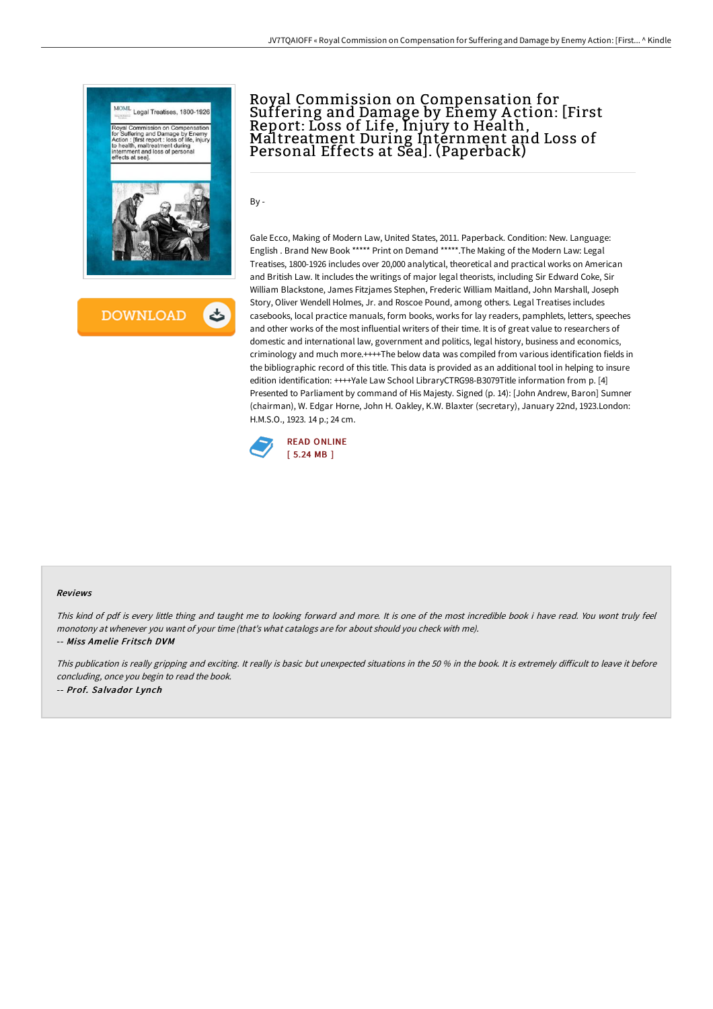

**DOWNLOAD** 

# Royal Commission on Compensation for Suffering and Damage by Enemy A ction: [First Report: Loss of Life, Injury to Héalth,<br>Maltreatment During Internment and Loss of Maltreatment During Internment and Loss of<br>Personal Effects at Sea]. (Paperback)

By -

Gale Ecco, Making of Modern Law, United States, 2011. Paperback. Condition: New. Language: English . Brand New Book \*\*\*\*\* Print on Demand \*\*\*\*\*.The Making of the Modern Law: Legal Treatises, 1800-1926 includes over 20,000 analytical, theoretical and practical works on American and British Law. It includes the writings of major legal theorists, including Sir Edward Coke, Sir William Blackstone, James Fitzjames Stephen, Frederic William Maitland, John Marshall, Joseph Story, Oliver Wendell Holmes, Jr. and Roscoe Pound, among others. Legal Treatises includes casebooks, local practice manuals, form books, works for lay readers, pamphlets, letters, speeches and other works of the most influential writers of their time. It is of great value to researchers of domestic and international law, government and politics, legal history, business and economics, criminology and much more.++++The below data was compiled from various identification fields in the bibliographic record of this title. This data is provided as an additional tool in helping to insure edition identification: ++++Yale Law School LibraryCTRG98-B3079Title information from p. [4] Presented to Parliament by command of His Majesty. Signed (p. 14): [John Andrew, Baron] Sumner (chairman), W. Edgar Horne, John H. Oakley, K.W. Blaxter (secretary), January 22nd, 1923.London: H.M.S.O., 1923. 14 p.; 24 cm.



#### Reviews

This kind of pdf is every little thing and taught me to looking forward and more. It is one of the most incredible book i have read. You wont truly feel monotony at whenever you want of your time (that's what catalogs are for about should you check with me). -- Miss Amelie Fritsch DVM

This publication is really gripping and exciting. It really is basic but unexpected situations in the 50 % in the book. It is extremely difficult to leave it before concluding, once you begin to read the book. -- Prof. Salvador Lynch